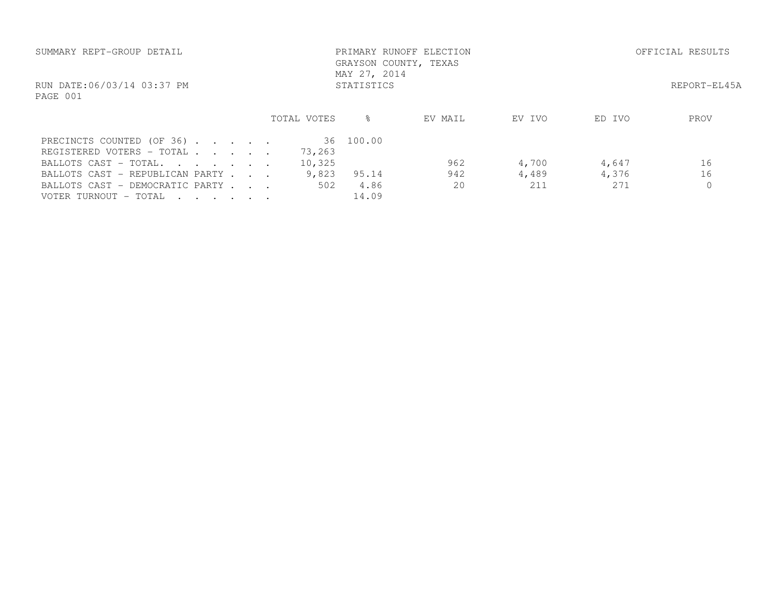| SUMMARY REPT-GROUP DETAIL                              |  | MAY 27, 2014 | PRIMARY RUNOFF ELECTION<br>GRAYSON COUNTY, TEXAS |         | OFFICIAL RESULTS |        |      |
|--------------------------------------------------------|--|--------------|--------------------------------------------------|---------|------------------|--------|------|
| RUN DATE:06/03/14 03:37 PM<br>PAGE 001                 |  |              | STATISTICS                                       |         | REPORT-EL45A     |        |      |
|                                                        |  | TOTAL VOTES  | ⊱                                                | EV MAIL | EV IVO           | ED IVO | PROV |
| PRECINCTS COUNTED (OF 36)<br>REGISTERED VOTERS - TOTAL |  | 73,263       | 36 100.00                                        |         |                  |        |      |
| BALLOTS CAST - TOTAL.                                  |  | 10,325       |                                                  | 962     | 4,700            | 4,647  | 16   |
| BALLOTS CAST - REPUBLICAN PARTY                        |  | 9,823        | 95.14                                            | 942     | 4,489            | 4,376  | 16   |
| BALLOTS CAST - DEMOCRATIC PARTY                        |  | 502          | 4.86                                             | 20      | 211              | 271    |      |
| VOTER TURNOUT – TOTAL<br>$\cdot$                       |  |              | 14.09                                            |         |                  |        |      |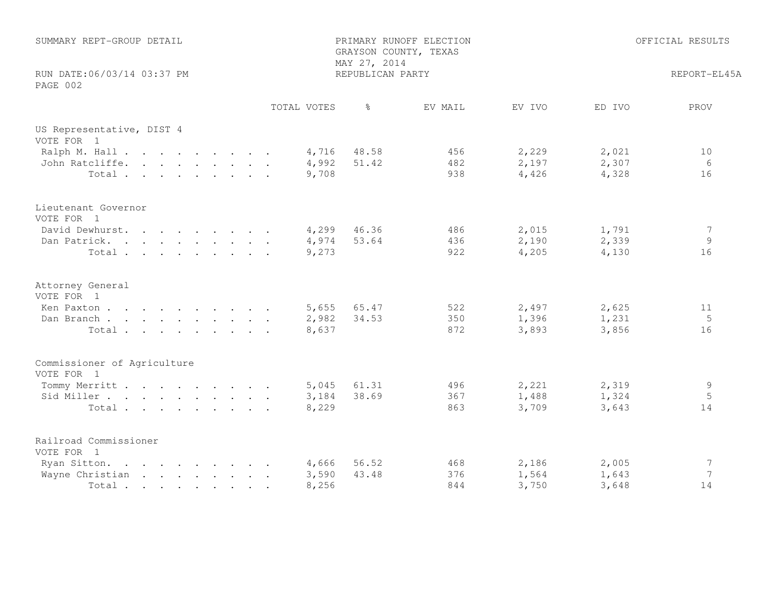| SUMMARY REPT-GROUP DETAIL<br>RUN DATE: 06/03/14 03:37 PM<br>PAGE 002 |             | PRIMARY RUNOFF ELECTION<br>GRAYSON COUNTY, TEXAS<br>MAY 27, 2014<br>REPUBLICAN PARTY | OFFICIAL RESULTS<br>REPORT-EL45A |        |        |                 |
|----------------------------------------------------------------------|-------------|--------------------------------------------------------------------------------------|----------------------------------|--------|--------|-----------------|
|                                                                      | TOTAL VOTES | $\frac{6}{6}$                                                                        | EV MAIL                          | EV IVO | ED IVO | PROV            |
| US Representative, DIST 4<br>VOTE FOR 1                              |             |                                                                                      |                                  |        |        |                 |
| Ralph M. Hall                                                        |             | 4,716 48.58                                                                          | 456                              | 2,229  | 2,021  | 10              |
| John Ratcliffe.                                                      | 4,992       | 51.42                                                                                | 482                              | 2,197  | 2,307  | 6               |
| Total                                                                | 9,708       |                                                                                      | 938                              | 4,426  | 4,328  | 16              |
| Lieutenant Governor<br>VOTE FOR 1                                    |             |                                                                                      |                                  |        |        |                 |
| David Dewhurst.                                                      |             | 4,299 46.36                                                                          | 486                              | 2,015  | 1,791  | 7               |
| Dan Patrick.                                                         | 4,974       | 53.64                                                                                | 436                              | 2,190  | 2,339  | 9               |
| Total                                                                | 9,273       |                                                                                      | 922                              | 4,205  | 4,130  | 16              |
| Attorney General<br>VOTE FOR 1                                       |             |                                                                                      |                                  |        |        |                 |
| Ken Paxton                                                           | 5,655       | 65.47                                                                                | 522                              | 2,497  | 2,625  | 11              |
| Dan Branch                                                           | 2,982       | 34.53                                                                                | 350                              | 1,396  | 1,231  | 5               |
| Total                                                                | 8,637       |                                                                                      | 872                              | 3,893  | 3,856  | 16              |
| Commissioner of Agriculture<br>VOTE FOR 1                            |             |                                                                                      |                                  |        |        |                 |
| Tommy Merritt                                                        | 5,045       | 61.31                                                                                | 496                              | 2,221  | 2,319  | 9               |
| Sid Miller                                                           | 3,184       | 38.69                                                                                | 367                              | 1,488  | 1,324  | 5               |
| Total                                                                | 8,229       |                                                                                      | 863                              | 3,709  | 3,643  | 14              |
| Railroad Commissioner<br>VOTE FOR 1                                  |             |                                                                                      |                                  |        |        |                 |
| Ryan Sitton.                                                         | 4,666       | 56.52                                                                                | 468                              | 2,186  | 2,005  | $7\phantom{.0}$ |
| Wayne Christian                                                      | 3,590       | 43.48                                                                                | 376                              | 1,564  | 1,643  | $7\phantom{.0}$ |
| Total                                                                | 8,256       |                                                                                      | 844                              | 3,750  | 3,648  | 14              |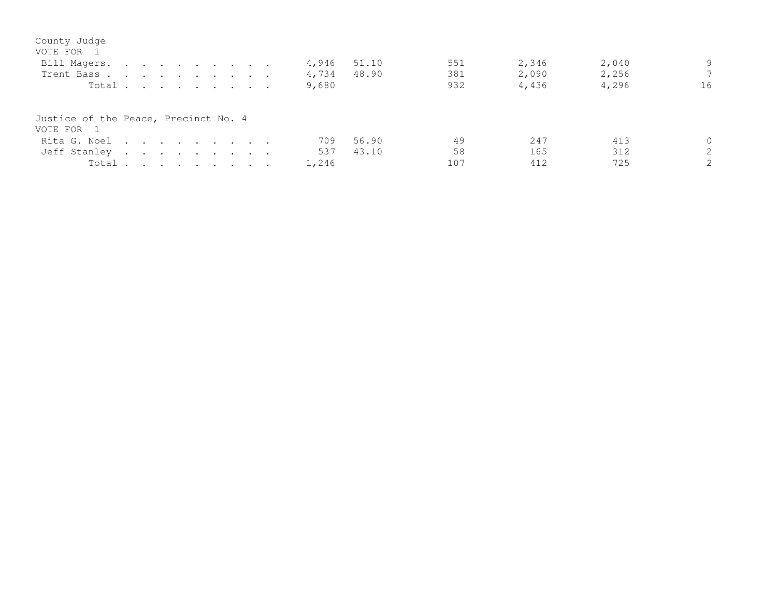| County Judge<br>VOTE FOR 1           |  |  |  |  |       |       |     |       |       |          |
|--------------------------------------|--|--|--|--|-------|-------|-----|-------|-------|----------|
| Bill Magers.                         |  |  |  |  | 4,946 | 51.10 | 551 | 2,346 | 2,040 | 9        |
| Trent Bass.                          |  |  |  |  | 4,734 | 48.90 | 381 | 2,090 | 2,256 | 7        |
| Total                                |  |  |  |  | 9,680 |       | 932 | 4,436 | 4,296 | 16       |
| Justice of the Peace, Precinct No. 4 |  |  |  |  |       |       |     |       |       |          |
| VOTE FOR 1                           |  |  |  |  |       |       |     |       |       |          |
| Rita G. Noel                         |  |  |  |  | 709   | 56.90 | 49  | 247   | 413   | $\Omega$ |
| Jeff Stanley                         |  |  |  |  | 537   | 43.10 | 58  | 165   | 312   | 2        |
| Total                                |  |  |  |  | 1,246 |       | 107 | 412   | 725   | 2        |